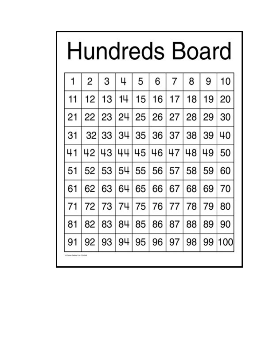| Hundreds Board              |                |       |    |    |                        |                |    |    |        |  |  |
|-----------------------------|----------------|-------|----|----|------------------------|----------------|----|----|--------|--|--|
|                             | $\overline{2}$ | З     |    | 5  | 6                      | $\overline{7}$ | 8  | 9  | 10     |  |  |
|                             | 12             | 13    |    | 15 | 16                     | 17             | 18 | 19 | 20     |  |  |
| 21                          |                | 22 23 | 24 | 25 | 26                     | 27             | 28 | 29 | 30     |  |  |
| 31                          | 32             | 33    | 34 | 35 | 36                     | 37             | 38 | 39 | 40     |  |  |
|                             | 42             | l 43  |    | 45 | 46                     | 47             | 48 | 49 | 50     |  |  |
| 51                          | 52             | 53    | 54 | 55 | 56                     | 57             | 58 | 59 | 60     |  |  |
| 61                          | 62             | 63    | 64 | 65 | 66                     | 67             | 68 | 69 | 70     |  |  |
|                             | 72             | 73    | 74 | 75 | 76                     | 77             | 78 | 79 | 80     |  |  |
| 81                          | 82             | 83    | 84 | 85 | 86                     | 87             | 88 | 89 | 90     |  |  |
| 91                          | 92             |       |    |    | 93   94   95   96   97 |                | 98 |    | 99 100 |  |  |
| B Corner Defens Frid (1940) |                |       |    |    |                        |                |    |    |        |  |  |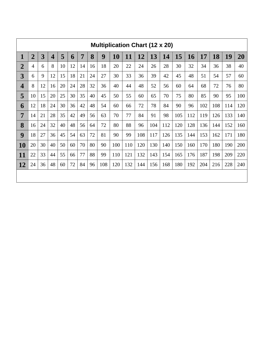| <b>Multiplication Chart (12 x 20)</b> |                |    |                         |    |    |    |    |     |     |     |     |     |     |     |           |     |     |     |     |
|---------------------------------------|----------------|----|-------------------------|----|----|----|----|-----|-----|-----|-----|-----|-----|-----|-----------|-----|-----|-----|-----|
| $\mathbf{1}$                          | $\overline{2}$ | 3  | $\overline{\mathbf{4}}$ | 5  | 6  | 7  | 8  | 9   | 10  | 11  | 12  | 13  | 14  | 15  | <b>16</b> | 17  | 18  | 19  | 20  |
| $\overline{2}$                        | $\overline{4}$ | 6  | 8                       | 10 | 12 | 14 | 16 | 18  | 20  | 22  | 24  | 26  | 28  | 30  | 32        | 34  | 36  | 38  | 40  |
| 3                                     | 6              | 9  | 12                      | 15 | 18 | 21 | 24 | 27  | 30  | 33  | 36  | 39  | 42  | 45  | 48        | 51  | 54  | 57  | 60  |
| $\overline{\mathbf{4}}$               | 8              | 12 | 16                      | 20 | 24 | 28 | 32 | 36  | 40  | 44  | 48  | 52  | 56  | 60  | 64        | 68  | 72  | 76  | 80  |
| 5                                     | 10             | 15 | 20                      | 25 | 30 | 35 | 40 | 45  | 50  | 55  | 60  | 65  | 70  | 75  | 80        | 85  | 90  | 95  | 100 |
| 6                                     | 12             | 18 | 24                      | 30 | 36 | 42 | 48 | 54  | 60  | 66  | 72  | 78  | 84  | 90  | 96        | 102 | 108 | 114 | 120 |
| 7                                     | 14             | 21 | 28                      | 35 | 42 | 49 | 56 | 63  | 70  | 77  | 84  | 91  | 98  | 105 | 112       | 119 | 126 | 133 | 140 |
| 8                                     | 16             | 24 | 32                      | 40 | 48 | 56 | 64 | 72  | 80  | 88  | 96  | 104 | 112 | 120 | 128       | 136 | 144 | 152 | 160 |
| 9                                     | 18             | 27 | 36                      | 45 | 54 | 63 | 72 | 81  | 90  | 99  | 108 | 117 | 126 | 135 | 144       | 153 | 162 | 171 | 180 |
| <b>10</b>                             | 20             | 30 | 40                      | 50 | 60 | 70 | 80 | 90  | 100 | 110 | 120 | 130 | 140 | 150 | 160       | 170 | 180 | 190 | 200 |
| 11                                    | 22             | 33 | 44                      | 55 | 66 | 77 | 88 | 99  | 110 | 121 | 132 | 143 | 154 | 165 | 176       | 187 | 198 | 209 | 220 |
| 12                                    | 24             | 36 | 48                      | 60 | 72 | 84 | 96 | 108 | 120 | 132 | 144 | 156 | 168 | 180 | 192       | 204 | 216 | 228 | 240 |
|                                       |                |    |                         |    |    |    |    |     |     |     |     |     |     |     |           |     |     |     |     |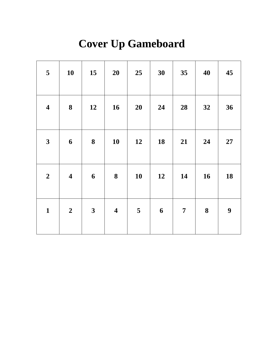## **Cover Up Gameboard**

| 5                       | 10                      | 15                      | 20                      | 25                      | 30               | 35             | 40 | 45 |
|-------------------------|-------------------------|-------------------------|-------------------------|-------------------------|------------------|----------------|----|----|
| $\overline{\mathbf{4}}$ | $\boldsymbol{8}$        | 12                      | 16                      | 20                      | 24               | 28             | 32 | 36 |
| $\mathbf{3}$            | $\boldsymbol{6}$        | $\boldsymbol{8}$        | 10                      | 12                      | 18               | 21             | 24 | 27 |
| $\boldsymbol{2}$        | $\overline{\mathbf{4}}$ | $\boldsymbol{6}$        | $\boldsymbol{8}$        | 10                      | 12               | 14             | 16 | 18 |
| $\mathbf{1}$            | $\boldsymbol{2}$        | $\overline{\mathbf{3}}$ | $\overline{\mathbf{4}}$ | $\overline{\mathbf{5}}$ | $\boldsymbol{6}$ | $\overline{7}$ | 8  | 9  |